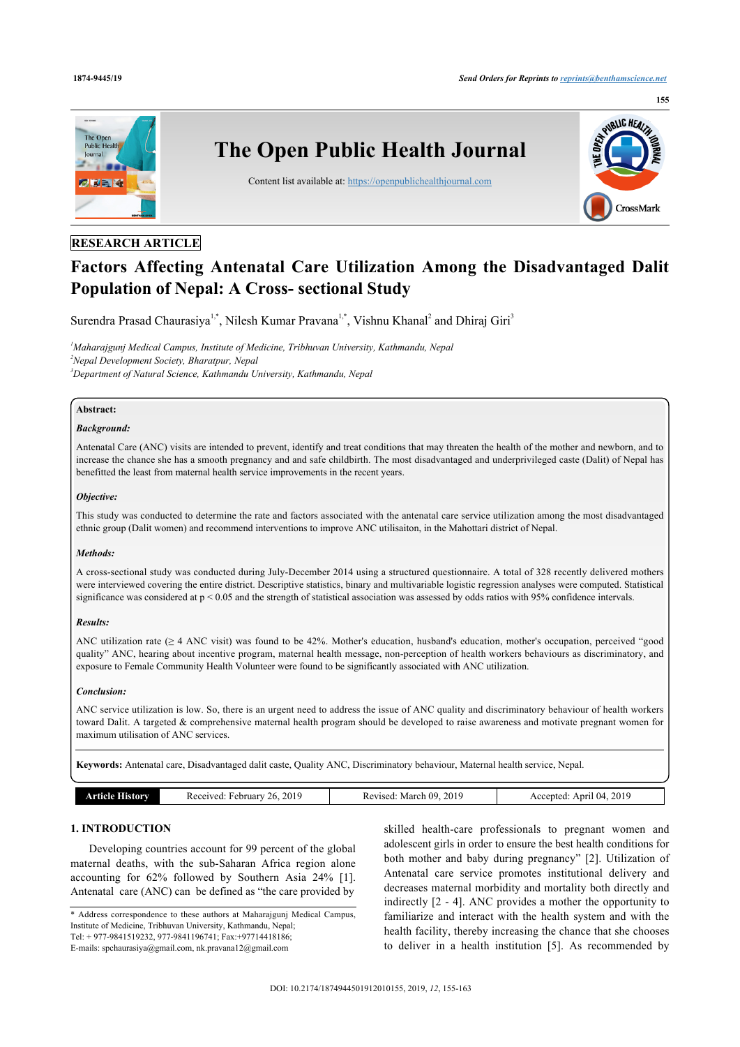

## **RESEARCH ARTICLE**

# **Factors Affecting Antenatal Care Utilization Among the Disadvantaged Dalit Population of Nepal: A Cross- sectional Study**

Surendra Prasad Chaurasiya<sup>[1](#page-0-0),[\\*](#page-0-1)</sup>, Nilesh Kumar Pravana<sup>1,\*</sup>, Vishnu Khanal<sup>[2](#page-0-2)</sup> and Dhiraj Giri<sup>[3](#page-0-3)</sup>

<span id="page-0-3"></span><span id="page-0-2"></span><span id="page-0-0"></span>*<sup>1</sup>Maharajgunj Medical Campus, Institute of Medicine, Tribhuvan University, Kathmandu, Nepal <sup>2</sup>Nepal Development Society, Bharatpur, Nepal <sup>3</sup>Department of Natural Science, Kathmandu University, Kathmandu, Nepal*

## **Abstract:**

## *Background:*

Antenatal Care (ANC) visits are intended to prevent, identify and treat conditions that may threaten the health of the mother and newborn, and to increase the chance she has a smooth pregnancy and and safe childbirth. The most disadvantaged and underprivileged caste (Dalit) of Nepal has benefitted the least from maternal health service improvements in the recent years.

## *Objective:*

This study was conducted to determine the rate and factors associated with the antenatal care service utilization among the most disadvantaged ethnic group (Dalit women) and recommend interventions to improve ANC utilisaiton, in the Mahottari district of Nepal.

#### *Methods:*

A cross-sectional study was conducted during July-December 2014 using a structured questionnaire. A total of 328 recently delivered mothers were interviewed covering the entire district. Descriptive statistics, binary and multivariable logistic regression analyses were computed. Statistical significance was considered at  $p < 0.05$  and the strength of statistical association was assessed by odds ratios with 95% confidence intervals.

## *Results:*

ANC utilization rate ( $\geq 4$  ANC visit) was found to be 42%. Mother's education, husband's education, mother's occupation, perceived "good quality" ANC, hearing about incentive program, maternal health message, non-perception of health workers behaviours as discriminatory, and exposure to Female Community Health Volunteer were found to be significantly associated with ANC utilization.

#### *Conclusion:*

ANC service utilization is low. So, there is an urgent need to address the issue of ANC quality and discriminatory behaviour of health workers toward Dalit. A targeted & comprehensive maternal health program should be developed to raise awareness and motivate pregnant women for maximum utilisation of ANC services.

**Keywords:** Antenatal care, Disadvantaged dalit caste, Quality ANC, Discriminatory behaviour, Maternal health service, Nepal.

|  | orv | 2019<br>,,<br>February<br>ceived<br>R er<br>__<br>. | 201<br>ባሩ<br>vlarch<br>vised<br>n.<br>__<br>. | 2019<br>Anri<br>eni.<br>04<br>__ |
|--|-----|-----------------------------------------------------|-----------------------------------------------|----------------------------------|
|--|-----|-----------------------------------------------------|-----------------------------------------------|----------------------------------|

## **1. INTRODUCTION**

Developing countries account for 99 percent of the global maternal deaths, with the sub-Saharan Africa region alone accounting for 62% followed by Southern Asia 24% [\[1\]](#page-7-0). Antenatal care (ANC) can be defined as "the care provided by

<span id="page-0-1"></span>\* Address correspondence to these authors at Maharajgunj Medical Campus, Institute of Medicine, Tribhuvan University, Kathmandu, Nepal; Tel: + 977-9841519232, 977-9841196741; Fax:+97714418186; E-mails: [spchaurasiya@gmail.com,](mailto:spchaurasiya@gmail.com) [nk.pravana12@gmail.com](mailto:nk.pravana12@gmail.com)

skilled health-care professionals to pregnant women and adolescent girls in order to ensure the best health conditions for both mother and baby during pregnancy"[[2\]](#page-7-1). Utilization of Antenatal care service promotes institutional delivery and decreases maternal morbidity and mortality both directly and indirectly [[2](#page-7-1) - [4](#page-7-2)]. ANC provides a mother the opportunity to familiarize and interact with the health system and with the health facility, thereby increasing the chance that she chooses to deliver in a health institution[[5](#page-8-0)]. As recommended by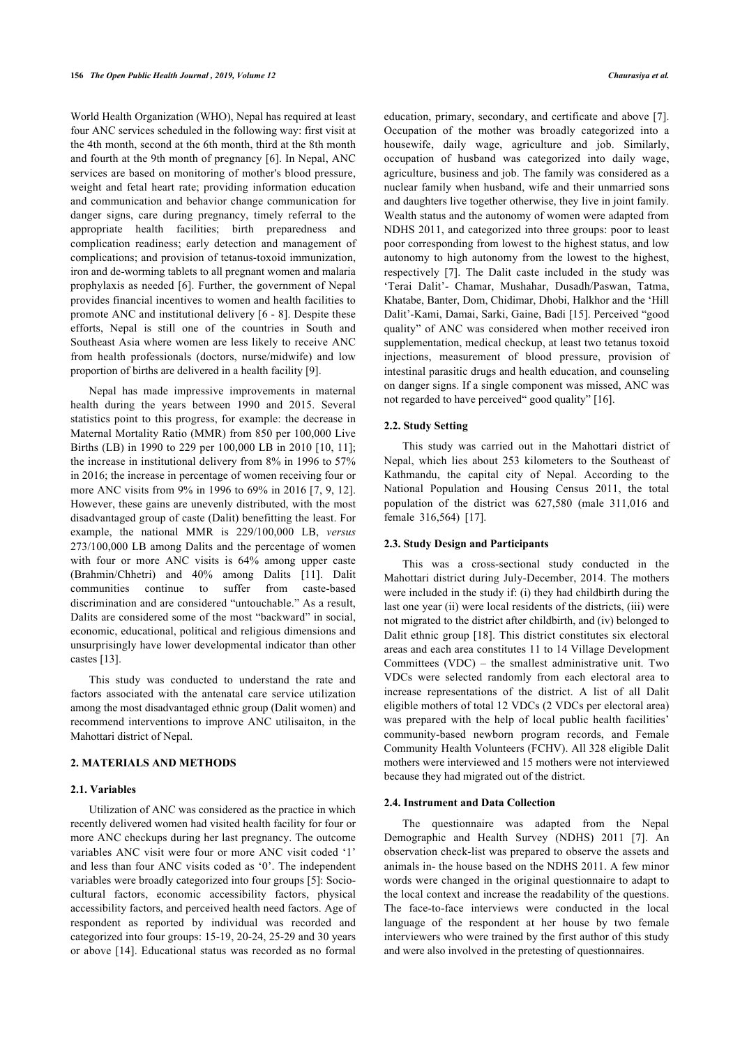World Health Organization (WHO), Nepal has required at least four ANC services scheduled in the following way: first visit at the 4th month, second at the 6th month, third at the 8th month and fourth at the 9th month of pregnancy [[6](#page-8-1)]. In Nepal, ANC services are based on monitoring of mother's blood pressure, weight and fetal heart rate; providing information education and communication and behavior change communication for danger signs, care during pregnancy, timely referral to the appropriate health facilities; birth preparedness and complication readiness; early detection and management of complications; and provision of tetanus-toxoid immunization, iron and de-worming tablets to all pregnant women and malaria prophylaxis as needed [\[6](#page-8-1)]. Further, the government of Nepal provides financial incentives to women and health facilities to promote ANC and institutional delivery [[6](#page-8-1) - [8](#page-8-2)]. Despite these efforts, Nepal is still one of the countries in South and Southeast Asia where women are less likely to receive ANC from health professionals (doctors, nurse/midwife) and low proportion of births are delivered in a health facility [[9](#page-8-3)].

Nepal has made impressive improvements in maternal health during the years between 1990 and 2015. Several statistics point to this progress, for example: the decrease in Maternal Mortality Ratio (MMR) from 850 per 100,000 Live Births (LB) in 1990 to 229 per 100,000 LB in 2010 [[10](#page-8-4), [11\]](#page-8-5); the increase in institutional delivery from 8% in 1996 to 57% in 2016; the increase in percentage of women receiving four or more ANC visits from 9% in 1996 to 69% in 2016 [\[7](#page-8-6), [9,](#page-8-3) [12\]](#page-8-7). However, these gains are unevenly distributed, with the most disadvantaged group of caste (Dalit) benefitting the least. For example, the national MMR is 229/100,000 LB, *versus* 273/100,000 LB among Dalits and the percentage of women with four or more ANC visits is 64% among upper caste (Brahmin/Chhetri) and 40% among Dalits [\[11\]](#page-8-5). Dalit communities continue to suffer from caste-based discrimination and are considered "untouchable." As a result, Dalits are considered some of the most "backward" in social, economic, educational, political and religious dimensions and unsurprisingly have lower developmental indicator than other castes [\[13](#page-8-8)].

This study was conducted to understand the rate and factors associated with the antenatal care service utilization among the most disadvantaged ethnic group (Dalit women) and recommend interventions to improve ANC utilisaiton, in the Mahottari district of Nepal.

#### **2. MATERIALS AND METHODS**

## **2.1. Variables**

Utilization of ANC was considered as the practice in which recently delivered women had visited health facility for four or more ANC checkups during her last pregnancy. The outcome variables ANC visit were four or more ANC visit coded '1' and less than four ANC visits coded as '0'. The independent variables were broadly categorized into four groups [\[5\]](#page-8-0): Sociocultural factors, economic accessibility factors, physical accessibility factors, and perceived health need factors. Age of respondent as reported by individual was recorded and categorized into four groups: 15-19, 20-24, 25-29 and 30 years or above [[14](#page-8-9)]. Educational status was recorded as no formal

education, primary, secondary, and certificate and above [[7](#page-8-6)]. Occupation of the mother was broadly categorized into a housewife, daily wage, agriculture and job. Similarly, occupation of husband was categorized into daily wage, agriculture, business and job. The family was considered as a nuclear family when husband, wife and their unmarried sons and daughters live together otherwise, they live in joint family. Wealth status and the autonomy of women were adapted from NDHS 2011, and categorized into three groups: poor to least poor corresponding from lowest to the highest status, and low autonomy to high autonomy from the lowest to the highest, respectively[[7](#page-8-6)]. The Dalit caste included in the study was 'Terai Dalit'- Chamar, Mushahar, Dusadh/Paswan, Tatma, Khatabe, Banter, Dom, Chidimar, Dhobi, Halkhor and the 'Hill Dalit'-Kami, Damai, Sarki, Gaine, Badi [[15](#page-8-10)]. Perceived "good quality" of ANC was considered when mother received iron supplementation, medical checkup, at least two tetanus toxoid injections, measurement of blood pressure, provision of intestinal parasitic drugs and health education, and counseling on danger signs. If a single component was missed, ANC was not regarded to have perceived" good quality" [[16\]](#page-8-11).

#### **2.2. Study Setting**

This study was carried out in the Mahottari district of Nepal, which lies about 253 kilometers to the Southeast of Kathmandu, the capital city of Nepal. According to the National Population and Housing Census 2011, the total population of the district was 627,580 (male 311,016 and female 316,564) [\[17](#page-8-12)].

#### **2.3. Study Design and Participants**

This was a cross-sectional study conducted in the Mahottari district during July-December, 2014. The mothers were included in the study if: (i) they had childbirth during the last one year (ii) were local residents of the districts, (iii) were not migrated to the district after childbirth, and (iv) belonged to Dalit ethnic group [[18](#page-8-13)]. This district constitutes six electoral areas and each area constitutes 11 to 14 Village Development Committees (VDC) – the smallest administrative unit. Two VDCs were selected randomly from each electoral area to increase representations of the district. A list of all Dalit eligible mothers of total 12 VDCs (2 VDCs per electoral area) was prepared with the help of local public health facilities' community-based newborn program records, and Female Community Health Volunteers (FCHV). All 328 eligible Dalit mothers were interviewed and 15 mothers were not interviewed because they had migrated out of the district.

#### **2.4. Instrument and Data Collection**

The questionnaire was adapted from the Nepal Demographic and Health Survey (NDHS) 2011 [\[7](#page-8-6)]. An observation check-list was prepared to observe the assets and animals in- the house based on the NDHS 2011. A few minor words were changed in the original questionnaire to adapt to the local context and increase the readability of the questions. The face-to-face interviews were conducted in the local language of the respondent at her house by two female interviewers who were trained by the first author of this study and were also involved in the pretesting of questionnaires.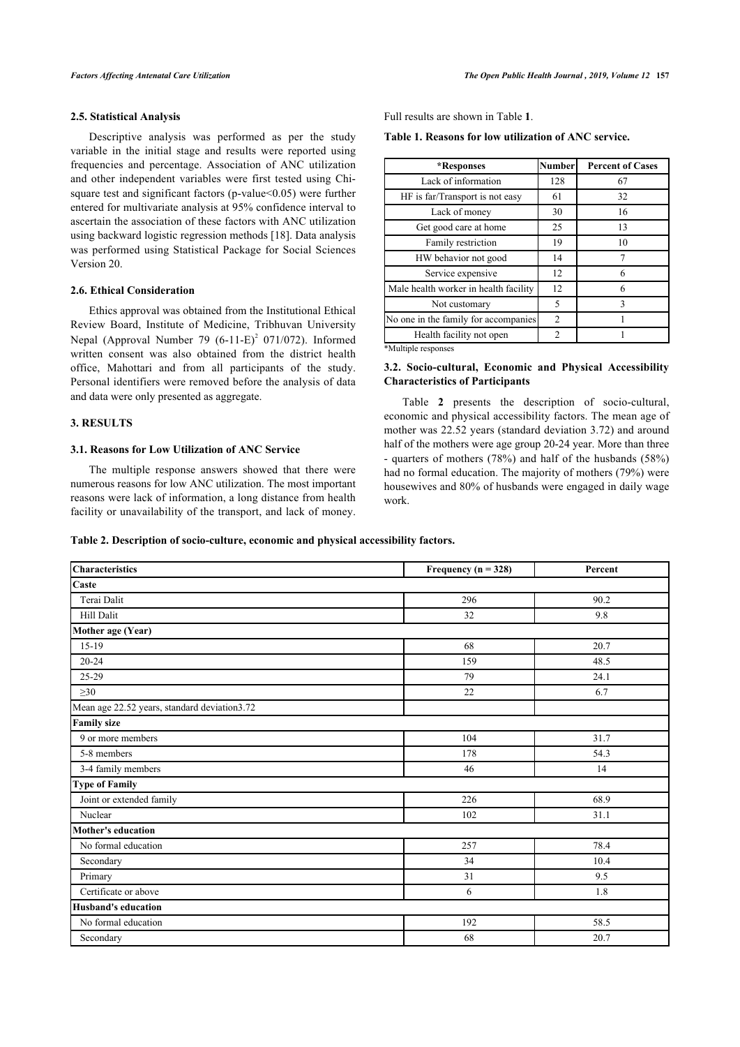## **2.5. Statistical Analysis**

Descriptive analysis was performed as per the study variable in the initial stage and results were reported using frequencies and percentage. Association of ANC utilization and other independent variables were first tested using Chisquare test and significant factors (p-value<0.05) were further entered for multivariate analysis at 95% confidence interval to ascertain the association of these factors with ANC utilization using backward logistic regression methods [[18](#page-8-13)]. Data analysis was performed using Statistical Package for Social Sciences Version 20.

## **2.6. Ethical Consideration**

Ethics approval was obtained from the Institutional Ethical Review Board, Institute of Medicine, Tribhuvan University Nepal (Approval Number 79  $(6-11-E)^2$  071/072). Informed written consent was also obtained from the district health office, Mahottari and from all participants of the study. Personal identifiers were removed before the analysis of data and data were only presented as aggregate.

## **3. RESULTS**

#### **3.1. Reasons for Low Utilization of ANC Service**

The multiple response answers showed that there were numerous reasons for low ANC utilization. The most important reasons were lack of information, a long distance from health facility or unavailability of the transport, and lack of money.

Full results are shown in Table **[1](#page-2-0)**.

**Table 1. Reasons for low utilization of ANC service.**

| *Responses                            | <b>Number</b> | <b>Percent of Cases</b> |
|---------------------------------------|---------------|-------------------------|
| Lack of information                   | 128           | 67                      |
| HF is far/Transport is not easy       | 61            | 32                      |
| Lack of money                         | 30            | 16                      |
| Get good care at home                 | 25            | 13                      |
| Family restriction                    | 19            | 10                      |
| HW behavior not good                  | 14            | 7                       |
| Service expensive                     | 12            | 6                       |
| Male health worker in health facility | 12            | 6                       |
| Not customary                         | 5             | 3                       |
| No one in the family for accompanies  | 2             |                         |
| Health facility not open              | $\mathcal{L}$ |                         |
| *Multiple recponses                   |               |                         |

Multiple respo

## **3.2. Socio-cultural, Economic and Physical Accessibility Characteristics of Participants**

Table**2** presents the description of socio-cultural, economic and physical accessibility factors. The mean age of mother was 22.52 years (standard deviation 3.72) and around half of the mothers were age group 20-24 year. More than three - quarters of mothers (78%) and half of the husbands (58%) had no formal education. The majority of mothers (79%) were housewives and 80% of husbands were engaged in daily wage work.

## <span id="page-2-1"></span><span id="page-2-0"></span>**Table 2. Description of socio-culture, economic and physical accessibility factors.**

| <b>Characteristics</b>                       | Frequency ( $n = 328$ ) | Percent |
|----------------------------------------------|-------------------------|---------|
| Caste                                        |                         |         |
| Terai Dalit                                  | 296                     | 90.2    |
| <b>Hill Dalit</b>                            | 32                      | 9.8     |
| Mother age (Year)                            |                         |         |
| $15-19$                                      | 68                      | 20.7    |
| $20 - 24$                                    | 159                     | 48.5    |
| 25-29                                        | 79                      | 24.1    |
| $\geq 30$                                    | 22                      | 6.7     |
| Mean age 22.52 years, standard deviation3.72 |                         |         |
| <b>Family size</b>                           |                         |         |
| 9 or more members                            | 104                     | 31.7    |
| 5-8 members                                  | 178                     | 54.3    |
| 3-4 family members                           | 46                      | 14      |
| <b>Type of Family</b>                        |                         |         |
| Joint or extended family                     | 226                     | 68.9    |
| Nuclear                                      | 102                     | 31.1    |
| Mother's education                           |                         |         |
| No formal education                          | 257                     | 78.4    |
| Secondary                                    | 34                      | 10.4    |
| Primary                                      | 31                      | 9.5     |
| Certificate or above                         | 6                       | 1.8     |
| <b>Husband's education</b>                   |                         |         |
| No formal education                          | 192                     | 58.5    |
| Secondary                                    | 68                      | 20.7    |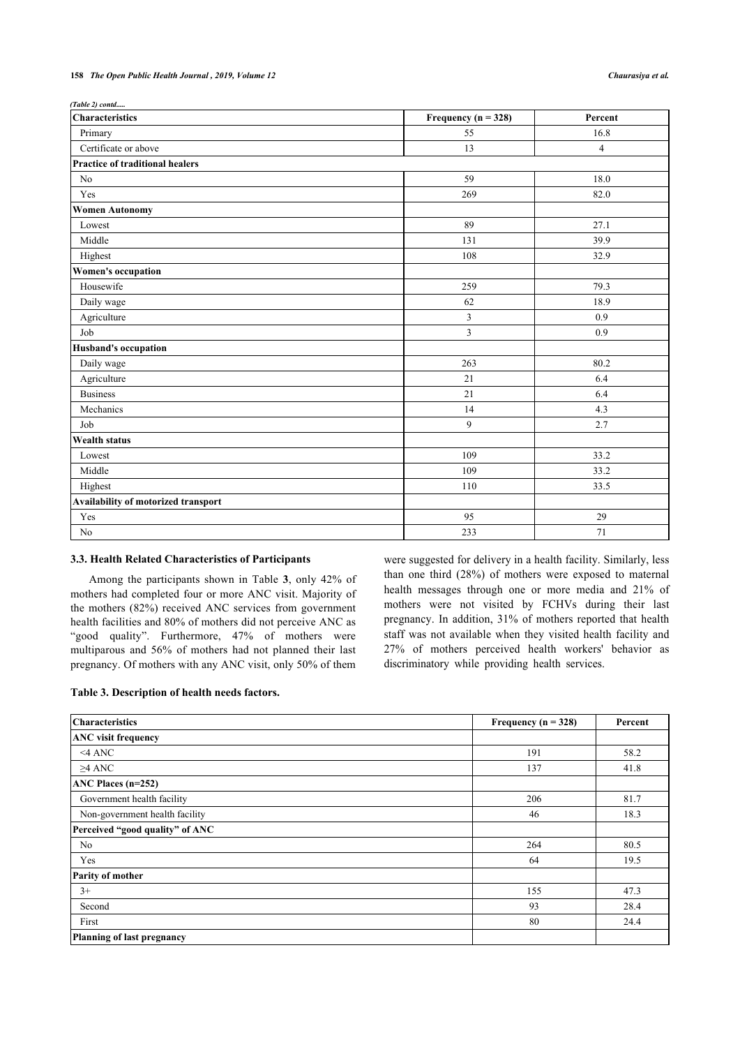#### **158** *The Open Public Health Journal , 2019, Volume 12 Chaurasiya et al.*

*(Table 2) contd.....*

| <b>Characteristics</b>                 | Frequency ( $n = 328$ ) | Percent        |
|----------------------------------------|-------------------------|----------------|
| Primary                                | 55                      | 16.8           |
| Certificate or above                   | 13                      | $\overline{4}$ |
| <b>Practice of traditional healers</b> |                         |                |
| No                                     | 59                      | 18.0           |
| Yes                                    | 269                     | 82.0           |
| <b>Women Autonomy</b>                  |                         |                |
| Lowest                                 | 89                      | 27.1           |
| Middle                                 | 131                     | 39.9           |
| Highest                                | 108                     | 32.9           |
| Women's occupation                     |                         |                |
| Housewife                              | 259                     | 79.3           |
| Daily wage                             | 62                      | 18.9           |
| Agriculture                            | $\overline{3}$          | 0.9            |
| Job                                    | $\overline{3}$          | 0.9            |
| <b>Husband's occupation</b>            |                         |                |
| Daily wage                             | 263                     | 80.2           |
| Agriculture                            | 21                      | 6.4            |
| <b>Business</b>                        | 21                      | 6.4            |
| Mechanics                              | 14                      | 4.3            |
| Job                                    | 9                       | 2.7            |
| <b>Wealth status</b>                   |                         |                |
| Lowest                                 | 109                     | 33.2           |
| Middle                                 | 109                     | 33.2           |
| Highest                                | 110                     | 33.5           |
| Availability of motorized transport    |                         |                |
| Yes                                    | 95                      | 29             |
| N <sub>o</sub>                         | 233                     | 71             |

## **3.3. Health Related Characteristics of Participants**

Among the participants shown in Table**3**, only 42% of mothers had completed four or more ANC visit. Majority of the mothers (82%) received ANC services from government health facilities and 80% of mothers did not perceive ANC as "good quality". Furthermore, 47% of mothers were multiparous and 56% of mothers had not planned their last pregnancy. Of mothers with any ANC visit, only 50% of them were suggested for delivery in a health facility. Similarly, less than one third (28%) of mothers were exposed to maternal health messages through one or more media and 21% of mothers were not visited by FCHVs during their last pregnancy. In addition, 31% of mothers reported that health staff was not available when they visited health facility and 27% of mothers perceived health workers' behavior as discriminatory while providing health services.

## <span id="page-3-0"></span>**Table 3. Description of health needs factors.**

| <b>Characteristics</b>          | Frequency ( $n = 328$ ) | Percent |
|---------------------------------|-------------------------|---------|
| <b>ANC</b> visit frequency      |                         |         |
| $<$ 4 ANC                       | 191                     | 58.2    |
| $\geq$ 4 ANC                    | 137                     | 41.8    |
| ANC Places $(n=252)$            |                         |         |
| Government health facility      | 206                     | 81.7    |
| Non-government health facility  | 46                      | 18.3    |
| Perceived "good quality" of ANC |                         |         |
| No                              | 264                     | 80.5    |
| Yes                             | 64                      | 19.5    |
| Parity of mother                |                         |         |
| $3+$                            | 155                     | 47.3    |
| Second                          | 93                      | 28.4    |
| First                           | 80                      | 24.4    |
| Planning of last pregnancy      |                         |         |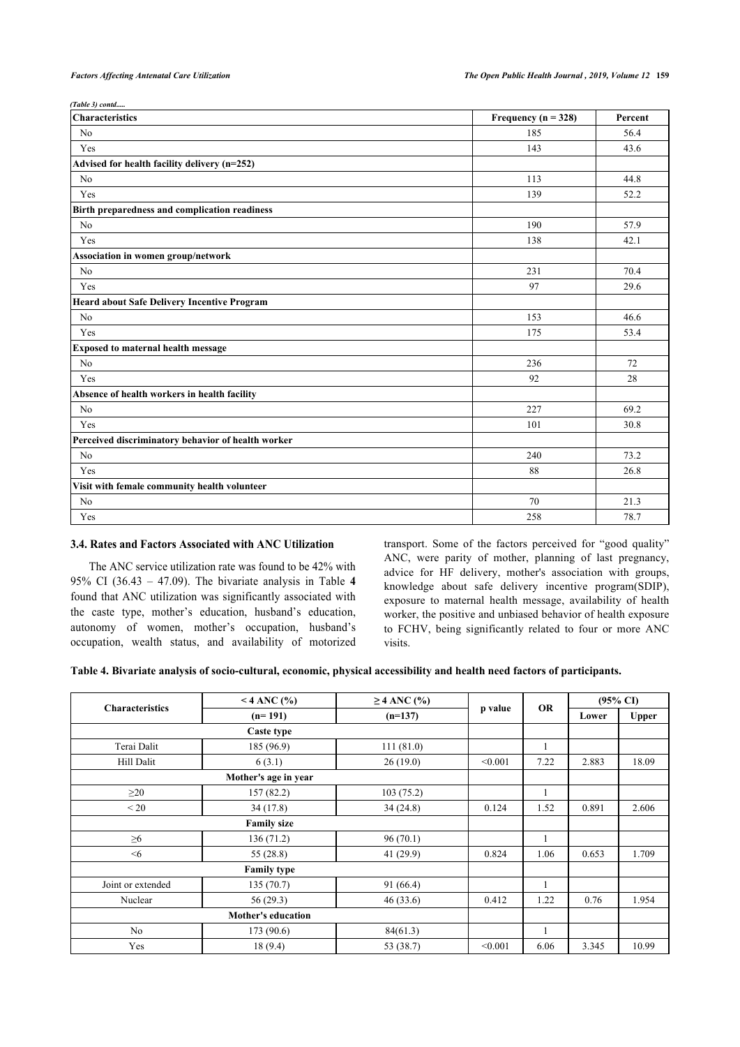| (Table 3) contd                                    |                         |         |
|----------------------------------------------------|-------------------------|---------|
| <b>Characteristics</b>                             | Frequency ( $n = 328$ ) | Percent |
| No                                                 | 185                     | 56.4    |
| Yes                                                | 143                     | 43.6    |
| Advised for health facility delivery (n=252)       |                         |         |
| N <sub>0</sub>                                     | 113                     | 44.8    |
| Yes                                                | 139                     | 52.2    |
| Birth preparedness and complication readiness      |                         |         |
| No                                                 | 190                     | 57.9    |
| Yes                                                | 138                     | 42.1    |
| Association in women group/network                 |                         |         |
| No                                                 | 231                     | 70.4    |
| Yes                                                | 97                      | 29.6    |
| Heard about Safe Delivery Incentive Program        |                         |         |
| No                                                 | 153                     | 46.6    |
| Yes                                                | 175                     | 53.4    |
| Exposed to maternal health message                 |                         |         |
| No                                                 | 236                     | 72      |
| Yes                                                | 92                      | 28      |
| Absence of health workers in health facility       |                         |         |
| No                                                 | 227                     | 69.2    |
| Yes                                                | 101                     | 30.8    |
| Perceived discriminatory behavior of health worker |                         |         |
| No                                                 | 240                     | 73.2    |
| Yes                                                | 88                      | 26.8    |
| Visit with female community health volunteer       |                         |         |
| N <sub>o</sub>                                     | 70                      | 21.3    |
| Yes                                                | 258                     | 78.7    |

## **3.4. Rates and Factors Associated with ANC Utilization**

The ANC service utilization rate was found to be 42% with 95% CI (36.43 – 47.09). The bivariate analysis in Table**4** found that ANC utilization was significantly associated with the caste type, mother's education, husband's education, autonomy of women, mother's occupation, husband's occupation, wealth status, and availability of motorized transport. Some of the factors perceived for "good quality" ANC, were parity of mother, planning of last pregnancy, advice for HF delivery, mother's association with groups, knowledge about safe delivery incentive program(SDIP), exposure to maternal health message, availability of health worker, the positive and unbiased behavior of health exposure to FCHV, being significantly related to four or more ANC visits.

```
Table 4. Bivariate analysis of socio-cultural, economic, physical accessibility and health need factors of participants.
```

|                        | $<$ 4 ANC (%)             | $\geq$ 4 ANC (%) |         | <b>OR</b> | $(95\% \text{ CI})$ |              |
|------------------------|---------------------------|------------------|---------|-----------|---------------------|--------------|
| <b>Characteristics</b> | $(n=191)$                 | $(n=137)$        | p value |           | Lower               | <b>Upper</b> |
|                        | Caste type                |                  |         |           |                     |              |
| Terai Dalit            | 185 (96.9)                | 111(81.0)        |         | 1         |                     |              |
| Hill Dalit             | 6(3.1)                    | 26(19.0)         | < 0.001 | 7.22      | 2.883               | 18.09        |
|                        | Mother's age in year      |                  |         |           |                     |              |
| $\geq$ 20              | 157(82.2)                 | 103(75.2)        |         | 1         |                     |              |
| < 20                   | 34(17.8)                  | 34(24.8)         | 0.124   | 1.52      | 0.891               | 2.606        |
|                        | <b>Family size</b>        |                  |         |           |                     |              |
| $\geq 6$               | 136(71.2)                 | 96(70.1)         |         | 1         |                     |              |
| $<$ 6                  | 55 (28.8)                 | 41(29.9)         | 0.824   | 1.06      | 0.653               | 1.709        |
|                        | <b>Family type</b>        |                  |         |           |                     |              |
| Joint or extended      | 135(70.7)                 | 91 (66.4)        |         | ı         |                     |              |
| Nuclear                | 56(29.3)                  | 46(33.6)         | 0.412   | 1.22      | 0.76                | 1.954        |
|                        | <b>Mother's education</b> |                  |         |           |                     |              |
| N <sub>o</sub>         | 173(90.6)                 | 84(61.3)         |         | 1         |                     |              |
| Yes                    | 18(9.4)                   | 53 (38.7)        | < 0.001 | 6.06      | 3.345               | 10.99        |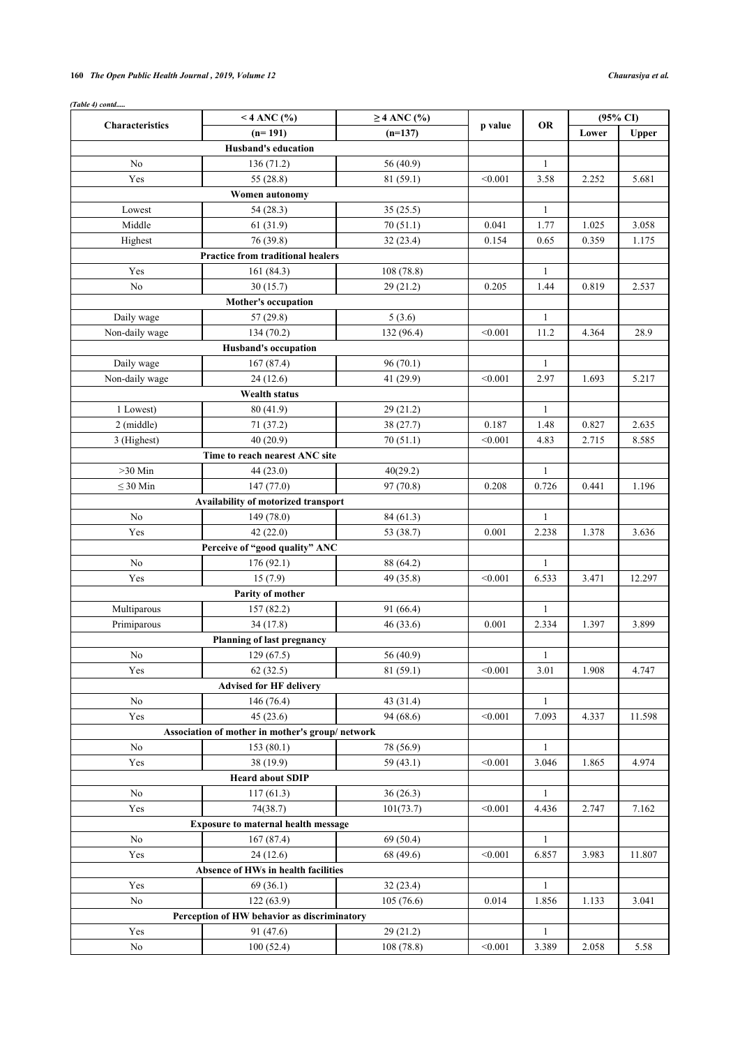## **160** *The Open Public Health Journal , 2019, Volume 12 Chaurasiya et al.*

| <b>Characteristics</b> | $<$ 4 ANC (%)                                   | $\geq$ 4 ANC (%) | p value | <b>OR</b>    | $(95\% \text{ CI})$ |        |  |
|------------------------|-------------------------------------------------|------------------|---------|--------------|---------------------|--------|--|
|                        | $(n=191)$                                       | $(n=137)$        |         |              | Lower               | Upper  |  |
|                        | Husband's education                             |                  |         |              |                     |        |  |
| No                     | 136(71.2)                                       | 56 (40.9)        |         | $\mathbf{1}$ |                     |        |  |
| Yes                    | 55 (28.8)                                       | 81 (59.1)        | < 0.001 | 3.58         | 2.252               | 5.681  |  |
|                        | Women autonomy                                  |                  |         |              |                     |        |  |
| Lowest                 | 54 (28.3)                                       | 35(25.5)         |         | $\mathbf{1}$ |                     |        |  |
| Middle                 | 61(31.9)                                        | 70(51.1)         | 0.041   | 1.77         | 1.025               | 3.058  |  |
| Highest                | 76 (39.8)                                       | 32(23.4)         | 0.154   | 0.65         | 0.359               | 1.175  |  |
|                        | <b>Practice from traditional healers</b>        |                  |         |              |                     |        |  |
| Yes                    | 161 (84.3)                                      | 108(78.8)        |         | $\mathbf{1}$ |                     |        |  |
| N <sub>0</sub>         | 30(15.7)                                        | 29(21.2)         | 0.205   | 1.44         | 0.819               | 2.537  |  |
|                        | Mother's occupation                             |                  |         |              |                     |        |  |
| Daily wage             | 57(29.8)                                        | 5(3.6)           |         | $\mathbf{1}$ |                     |        |  |
| Non-daily wage         | 134 (70.2)                                      | 132 (96.4)       | < 0.001 | 11.2         | 4.364               | 28.9   |  |
|                        | <b>Husband's occupation</b>                     |                  |         |              |                     |        |  |
| Daily wage             | 167(87.4)                                       | 96(70.1)         |         | $\mathbf{1}$ |                     |        |  |
| Non-daily wage         | 24(12.6)                                        | 41 (29.9)        | < 0.001 | 2.97         | 1.693               | 5.217  |  |
|                        | <b>Wealth status</b>                            |                  |         |              |                     |        |  |
| 1 Lowest)              | 80 (41.9)                                       | 29(21.2)         |         | $\mathbf{1}$ |                     |        |  |
| 2 (middle)             | 71 (37.2)                                       | 38 (27.7)        | 0.187   | 1.48         | 0.827               | 2.635  |  |
| 3 (Highest)            | 40(20.9)                                        | 70(51.1)         | < 0.001 | 4.83         | 2.715               | 8.585  |  |
|                        | Time to reach nearest ANC site                  |                  |         |              |                     |        |  |
| $>30$ Min              | 44 (23.0)                                       | 40(29.2)         |         | $\mathbf{1}$ |                     |        |  |
| $\leq 30$ Min          | 147(77.0)                                       | 97 (70.8)        | 0.208   | 0.726        | 0.441               | 1.196  |  |
|                        | Availability of motorized transport             |                  |         |              |                     |        |  |
| N <sub>0</sub>         | 149 (78.0)                                      | 84 (61.3)        |         | $\mathbf{1}$ |                     |        |  |
| Yes                    | 42(22.0)                                        | 53 (38.7)        | 0.001   | 2.238        | 1.378               | 3.636  |  |
|                        | Perceive of "good quality" ANC                  |                  |         |              |                     |        |  |
| No                     | 176(92.1)                                       | 88 (64.2)        |         | $\mathbf{1}$ |                     |        |  |
| Yes                    | 15(7.9)                                         | 49 (35.8)        | < 0.001 | 6.533        | 3.471               | 12.297 |  |
|                        | Parity of mother                                |                  |         |              |                     |        |  |
| Multiparous            | 157(82.2)                                       | 91 (66.4)        |         | $\mathbf{1}$ |                     |        |  |
| Primiparous            | 34 (17.8)                                       | 46 (33.6)        | 0.001   | 2.334        | 1.397               | 3.899  |  |
|                        | <b>Planning of last pregnancy</b>               |                  |         |              |                     |        |  |
| $\rm No$               | 129(67.5)                                       | 56 (40.9)        |         |              |                     |        |  |
|                        |                                                 |                  |         | $\mathbf{1}$ |                     |        |  |
| Yes                    | 62(32.5)<br><b>Advised for HF delivery</b>      | 81(59.1)         | < 0.001 | 3.01         | 1.908               | 4.747  |  |
|                        |                                                 |                  |         |              |                     |        |  |
| No                     | 146 (76.4)                                      | 43 (31.4)        |         | $\mathbf{1}$ |                     |        |  |
| Yes                    | 45(23.6)                                        | 94 (68.6)        | < 0.001 | 7.093        | 4.337               | 11.598 |  |
|                        | Association of mother in mother's group/network |                  |         |              |                     |        |  |
| No                     | 153(80.1)                                       | 78 (56.9)        |         | $\mathbf{1}$ |                     |        |  |
| Yes                    | 38 (19.9)                                       | 59 $(43.1)$      | < 0.001 | 3.046        | 1.865               | 4.974  |  |
|                        | <b>Heard about SDIP</b>                         |                  |         |              |                     |        |  |
| No                     | 117(61.3)                                       | 36(26.3)         |         | $\mathbf{1}$ |                     |        |  |
| Yes                    | 74(38.7)                                        | 101(73.7)        | < 0.001 | 4.436        | 2.747               | 7.162  |  |
|                        | <b>Exposure to maternal health message</b>      |                  |         |              |                     |        |  |
| No                     | 167(87.4)                                       | 69 (50.4)        |         | $\mathbf{1}$ |                     |        |  |
| Yes                    | 24(12.6)                                        | 68 (49.6)        | < 0.001 | 6.857        | 3.983               | 11.807 |  |
|                        | Absence of HWs in health facilities             |                  |         |              |                     |        |  |
| Yes                    | 69(36.1)                                        | 32(23.4)         |         | $\mathbf{1}$ |                     |        |  |
| No                     | 122(63.9)                                       | 105(76.6)        | 0.014   | 1.856        | 1.133               | 3.041  |  |
|                        | Perception of HW behavior as discriminatory     |                  |         |              |                     |        |  |
| Yes                    | 91 (47.6)                                       | 29 (21.2)        |         | $\mathbf{1}$ |                     |        |  |
| No                     | 100(52.4)                                       | 108(78.8)        | < 0.001 | 3.389        | 2.058               | 5.58   |  |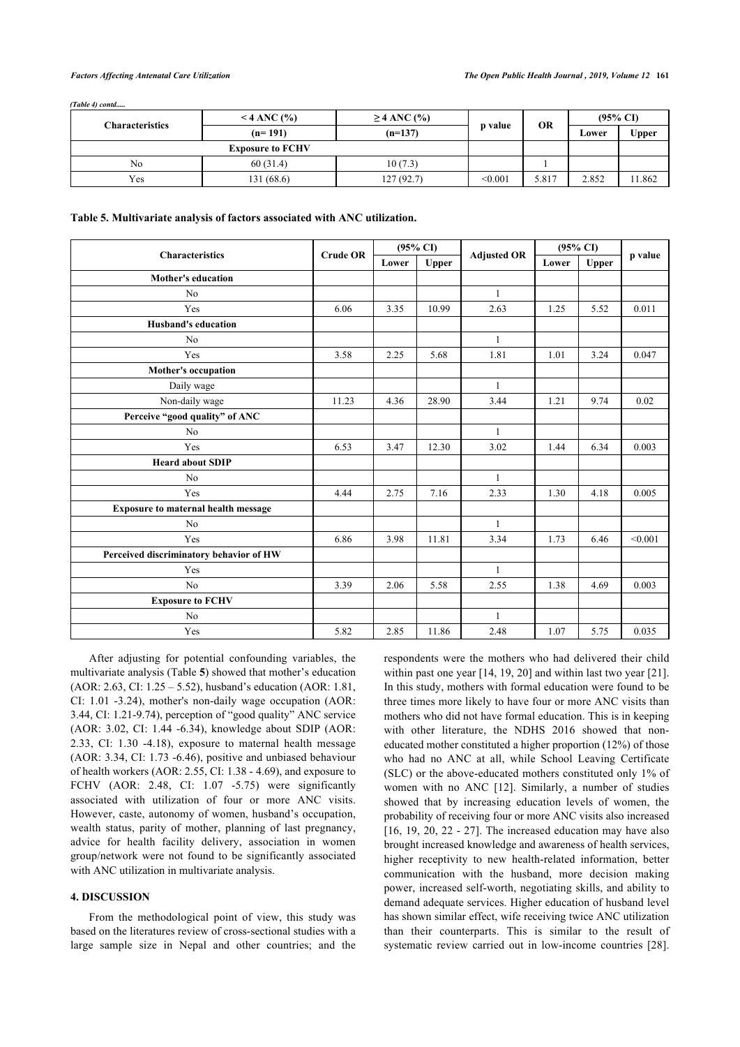*(Table 4) contd.....*

|                         | $<$ 4 ANC $\left(\frac{9}{6}\right)$ | $\geq$ 4 ANC (%) |         |       |       |              | <b>OR</b> | $(95\% \text{ CI})$ |  |
|-------------------------|--------------------------------------|------------------|---------|-------|-------|--------------|-----------|---------------------|--|
| <b>Characteristics</b>  | $(n=191)$                            | $(n=137)$        | p value |       | Lower | <b>Upper</b> |           |                     |  |
| <b>Exposure to FCHV</b> |                                      |                  |         |       |       |              |           |                     |  |
| No                      | 60(31.4)                             | 10(7.3)          |         |       |       |              |           |                     |  |
| Yes                     | 131(68.6)                            | 127 (92.7)       | < 0.001 | 5.817 | 2.852 | 1.862        |           |                     |  |

<span id="page-6-0"></span>

| Table 5. Multivariate analysis of factors associated with ANC utilization. |  |  |  |
|----------------------------------------------------------------------------|--|--|--|
|                                                                            |  |  |  |

|                                            |                 |       | $(95\% \text{ CI})$ |                    | $(95\% \text{ CI})$ |              |         |
|--------------------------------------------|-----------------|-------|---------------------|--------------------|---------------------|--------------|---------|
| <b>Characteristics</b>                     | <b>Crude OR</b> | Lower | Upper               | <b>Adjusted OR</b> | Lower               | <b>Upper</b> | p value |
| <b>Mother's education</b>                  |                 |       |                     |                    |                     |              |         |
| N <sub>0</sub>                             |                 |       |                     | $\mathbf{1}$       |                     |              |         |
| Yes                                        | 6.06            | 3.35  | 10.99               | 2.63               | 1.25                | 5.52         | 0.011   |
| <b>Husband's education</b>                 |                 |       |                     |                    |                     |              |         |
| No                                         |                 |       |                     | $\mathbf{1}$       |                     |              |         |
| Yes                                        | 3.58            | 2.25  | 5.68                | 1.81               | 1.01                | 3.24         | 0.047   |
| Mother's occupation                        |                 |       |                     |                    |                     |              |         |
| Daily wage                                 |                 |       |                     | $\mathbf{1}$       |                     |              |         |
| Non-daily wage                             | 11.23           | 4.36  | 28.90               | 3.44               | 1.21                | 9.74         | 0.02    |
| Perceive "good quality" of ANC             |                 |       |                     |                    |                     |              |         |
| No                                         |                 |       |                     | $\mathbf{1}$       |                     |              |         |
| Yes                                        | 6.53            | 3.47  | 12.30               | 3.02               | 1.44                | 6.34         | 0.003   |
| <b>Heard about SDIP</b>                    |                 |       |                     |                    |                     |              |         |
| N <sub>0</sub>                             |                 |       |                     | $\mathbf{1}$       |                     |              |         |
| Yes                                        | 4.44            | 2.75  | 7.16                | 2.33               | 1.30                | 4.18         | 0.005   |
| <b>Exposure to maternal health message</b> |                 |       |                     |                    |                     |              |         |
| No                                         |                 |       |                     | $\mathbf{1}$       |                     |              |         |
| Yes                                        | 6.86            | 3.98  | 11.81               | 3.34               | 1.73                | 6.46         | < 0.001 |
| Perceived discriminatory behavior of HW    |                 |       |                     |                    |                     |              |         |
| Yes                                        |                 |       |                     | $\mathbf{1}$       |                     |              |         |
| No                                         | 3.39            | 2.06  | 5.58                | 2.55               | 1.38                | 4.69         | 0.003   |
| <b>Exposure to FCHV</b>                    |                 |       |                     |                    |                     |              |         |
| No                                         |                 |       |                     | $\mathbf{1}$       |                     |              |         |
| Yes                                        | 5.82            | 2.85  | 11.86               | 2.48               | 1.07                | 5.75         | 0.035   |

After adjusting for potential confounding variables, the multivariate analysis (Table **[5](#page-6-0)**) showed that mother's education (AOR: 2.63, CI: 1.25 – 5.52), husband's education (AOR: 1.81, CI: 1.01 -3.24), mother's non-daily wage occupation (AOR: 3.44, CI: 1.21-9.74), perception of "good quality" ANC service (AOR: 3.02, CI: 1.44 -6.34), knowledge about SDIP (AOR: 2.33, CI: 1.30 -4.18), exposure to maternal health message (AOR: 3.34, CI: 1.73 -6.46), positive and unbiased behaviour of health workers (AOR: 2.55, CI: 1.38 - 4.69), and exposure to FCHV (AOR: 2.48, CI: 1.07 -5.75) were significantly associated with utilization of four or more ANC visits. However, caste, autonomy of women, husband's occupation, wealth status, parity of mother, planning of last pregnancy, advice for health facility delivery, association in women group/network were not found to be significantly associated with ANC utilization in multivariate analysis.

## **4. DISCUSSION**

From the methodological point of view, this study was based on the literatures review of cross-sectional studies with a large sample size in Nepal and other countries; and the

respondents were the mothers who had delivered their child within past one year [\[14,](#page-8-9) [19](#page-8-14), [20](#page-8-15)] and within last two year [\[21](#page-8-16)]. In this study, mothers with formal education were found to be three times more likely to have four or more ANC visits than mothers who did not have formal education. This is in keeping with other literature, the NDHS 2016 showed that noneducated mother constituted a higher proportion (12%) of those who had no ANC at all, while School Leaving Certificate (SLC) or the above-educated mothers constituted only 1% of women with no ANC[[12\]](#page-8-7). Similarly, a number of studies showed that by increasing education levels of women, the probability of receiving four or more ANC visits also increased  $[16, 19, 20, 22 - 27]$  $[16, 19, 20, 22 - 27]$  $[16, 19, 20, 22 - 27]$  $[16, 19, 20, 22 - 27]$  $[16, 19, 20, 22 - 27]$  $[16, 19, 20, 22 - 27]$  $[16, 19, 20, 22 - 27]$  $[16, 19, 20, 22 - 27]$  $[16, 19, 20, 22 - 27]$  $[16, 19, 20, 22 - 27]$ . The increased education may have also brought increased knowledge and awareness of health services, higher receptivity to new health-related information, better communication with the husband, more decision making power, increased self-worth, negotiating skills, and ability to demand adequate services. Higher education of husband level has shown similar effect, wife receiving twice ANC utilization than their counterparts. This is similar to the result of systematic review carried out in low-income countries[[28](#page-8-19)].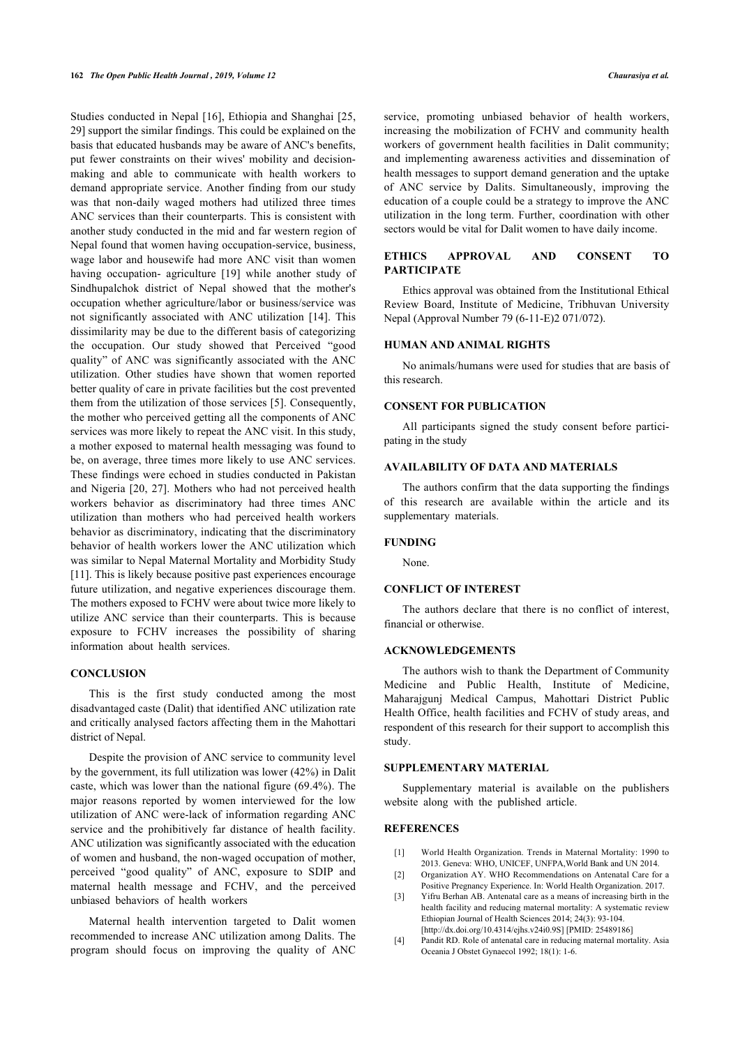Studies conducted in Nepal [\[16](#page-8-11)], Ethiopia and Shanghai [[25](#page-8-20), [29\]](#page-8-21) support the similar findings. This could be explained on the basis that educated husbands may be aware of ANC's benefits, put fewer constraints on their wives' mobility and decisionmaking and able to communicate with health workers to demand appropriate service. Another finding from our study was that non-daily waged mothers had utilized three times ANC services than their counterparts. This is consistent with another study conducted in the mid and far western region of Nepal found that women having occupation-service, business, wage labor and housewife had more ANC visit than women having occupation- agriculture [\[19](#page-8-14)] while another study of Sindhupalchok district of Nepal showed that the mother's occupation whether agriculture/labor or business/service was not significantly associated with ANC utilization[[14\]](#page-8-9). This dissimilarity may be due to the different basis of categorizing the occupation. Our study showed that Perceived "good quality" of ANC was significantly associated with the ANC utilization. Other studies have shown that women reported better quality of care in private facilities but the cost prevented them from the utilization of those services [[5](#page-8-0)]. Consequently, the mother who perceived getting all the components of ANC services was more likely to repeat the ANC visit. In this study, a mother exposed to maternal health messaging was found to be, on average, three times more likely to use ANC services. These findings were echoed in studies conducted in Pakistan and Nigeria [\[20](#page-8-15), [27](#page-8-18)]. Mothers who had not perceived health workers behavior as discriminatory had three times ANC utilization than mothers who had perceived health workers behavior as discriminatory, indicating that the discriminatory behavior of health workers lower the ANC utilization which was similar to Nepal Maternal Mortality and Morbidity Study [[11\]](#page-8-5). This is likely because positive past experiences encourage future utilization, and negative experiences discourage them. The mothers exposed to FCHV were about twice more likely to utilize ANC service than their counterparts. This is because exposure to FCHV increases the possibility of sharing information about health services.

## **CONCLUSION**

This is the first study conducted among the most disadvantaged caste (Dalit) that identified ANC utilization rate and critically analysed factors affecting them in the Mahottari district of Nepal.

Despite the provision of ANC service to community level by the government, its full utilization was lower (42%) in Dalit caste, which was lower than the national figure (69.4%). The major reasons reported by women interviewed for the low utilization of ANC were-lack of information regarding ANC service and the prohibitively far distance of health facility. ANC utilization was significantly associated with the education of women and husband, the non-waged occupation of mother, perceived "good quality" of ANC, exposure to SDIP and maternal health message and FCHV, and the perceived unbiased behaviors of health workers

<span id="page-7-2"></span><span id="page-7-1"></span><span id="page-7-0"></span>Maternal health intervention targeted to Dalit women recommended to increase ANC utilization among Dalits. The program should focus on improving the quality of ANC

service, promoting unbiased behavior of health workers, increasing the mobilization of FCHV and community health workers of government health facilities in Dalit community; and implementing awareness activities and dissemination of health messages to support demand generation and the uptake of ANC service by Dalits. Simultaneously, improving the education of a couple could be a strategy to improve the ANC utilization in the long term. Further, coordination with other sectors would be vital for Dalit women to have daily income.

## **ETHICS APPROVAL AND CONSENT TO PARTICIPATE**

Ethics approval was obtained from the Institutional Ethical Review Board, Institute of Medicine, Tribhuvan University Nepal (Approval Number 79 (6-11-E)2 071/072).

### **HUMAN AND ANIMAL RIGHTS**

No animals/humans were used for studies that are basis of this research.

## **CONSENT FOR PUBLICATION**

All participants signed the study consent before participating in the study

#### **AVAILABILITY OF DATA AND MATERIALS**

The authors confirm that the data supporting the findings of this research are available within the article and its supplementary materials.

#### **FUNDING**

None.

#### **CONFLICT OF INTEREST**

The authors declare that there is no conflict of interest, financial or otherwise.

## **ACKNOWLEDGEMENTS**

The authors wish to thank the Department of Community Medicine and Public Health, Institute of Medicine, Maharajgunj Medical Campus, Mahottari District Public Health Office, health facilities and FCHV of study areas, and respondent of this research for their support to accomplish this study.

#### **SUPPLEMENTARY MATERIAL**

Supplementary material is available on the publishers website along with the published article.

## **REFERENCES**

- [1] World Health Organization. Trends in Maternal Mortality: 1990 to 2013. Geneva: WHO, UNICEF, UNFPA,World Bank and UN 2014.
- [2] Organization AY. WHO Recommendations on Antenatal Care for a Positive Pregnancy Experience. In: World Health Organization. 2017.
- [3] Yifru Berhan AB. Antenatal care as a means of increasing birth in the health facility and reducing maternal mortality: A systematic review Ethiopian Journal of Health Sciences 2014; 24(3): 93-104. [\[http://dx.doi.org/10.4314/ejhs.v24i0.9S\]](http://dx.doi.org/10.4314/ejhs.v24i0.9S) [PMID: [25489186](http://www.ncbi.nlm.nih.gov/pubmed/25489186)]
- [4] Pandit RD. Role of antenatal care in reducing maternal mortality. Asia Oceania J Obstet Gynaecol 1992; 18(1): 1-6.